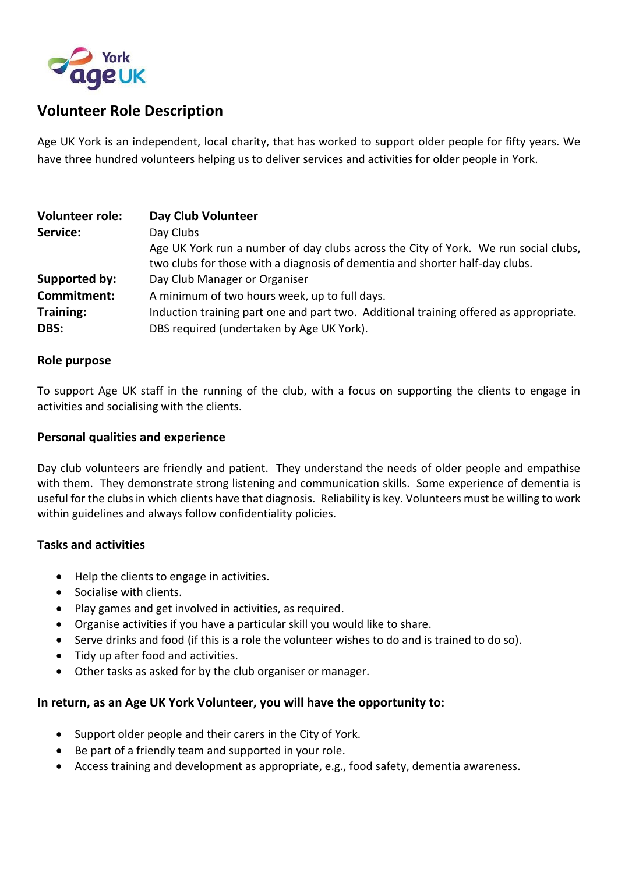

# **Volunteer Role Description**

Age UK York is an independent, local charity, that has worked to support older people for fifty years. We have three hundred volunteers helping us to deliver services and activities for older people in York.

| <b>Volunteer role:</b>   | Day Club Volunteer                                                                                                                                                  |
|--------------------------|---------------------------------------------------------------------------------------------------------------------------------------------------------------------|
| Service:                 | Day Clubs                                                                                                                                                           |
|                          | Age UK York run a number of day clubs across the City of York. We run social clubs,<br>two clubs for those with a diagnosis of dementia and shorter half-day clubs. |
| Supported by:            | Day Club Manager or Organiser                                                                                                                                       |
| Commitment:              | A minimum of two hours week, up to full days.                                                                                                                       |
| <b>Training:</b><br>DBS: | Induction training part one and part two. Additional training offered as appropriate.<br>DBS required (undertaken by Age UK York).                                  |

#### **Role purpose**

To support Age UK staff in the running of the club, with a focus on supporting the clients to engage in activities and socialising with the clients.

### **Personal qualities and experience**

Day club volunteers are friendly and patient. They understand the needs of older people and empathise with them. They demonstrate strong listening and communication skills. Some experience of dementia is useful for the clubs in which clients have that diagnosis. Reliability is key. Volunteers must be willing to work within guidelines and always follow confidentiality policies.

#### **Tasks and activities**

- Help the clients to engage in activities.
- Socialise with clients.
- Play games and get involved in activities, as required.
- Organise activities if you have a particular skill you would like to share.
- Serve drinks and food (if this is a role the volunteer wishes to do and is trained to do so).
- Tidy up after food and activities.
- Other tasks as asked for by the club organiser or manager.

## **In return, as an Age UK York Volunteer, you will have the opportunity to:**

- Support older people and their carers in the City of York.
- Be part of a friendly team and supported in your role.
- Access training and development as appropriate, e.g., food safety, dementia awareness.